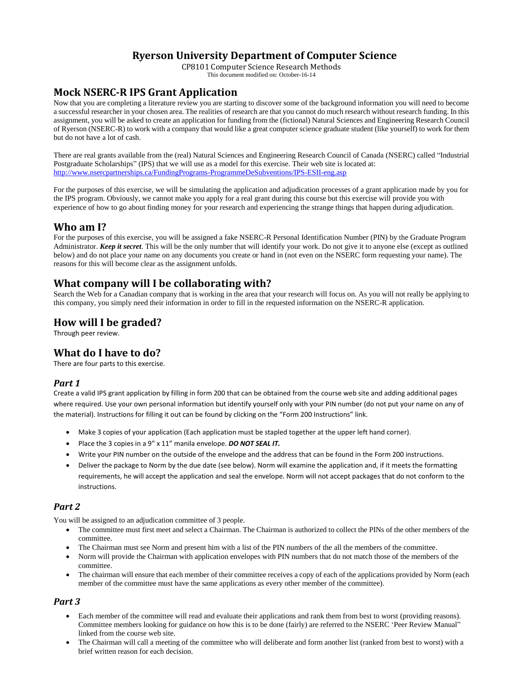## **Ryerson University Department of Computer Science**

CP8101 Computer Science Research Methods This document modified on: October-16-14

# **Mock NSERC-R IPS Grant Application**

Now that you are completing a literature review you are starting to discover some of the background information you will need to become a successful researcher in your chosen area. The realities of research are that you cannot do much research without research funding. In this assignment, you will be asked to create an application for funding from the (fictional) Natural Sciences and Engineering Research Council of Ryerson (NSERC-R) to work with a company that would like a great computer science graduate student (like yourself) to work for them but do not have a lot of cash.

There are real grants available from the (real) Natural Sciences and Engineering Research Council of Canada (NSERC) called "Industrial Postgraduate Scholarships" (IPS) that we will use as a model for this exercise. Their web site is located at: <http://www.nsercpartnerships.ca/FundingPrograms-ProgrammeDeSubventions/IPS-ESII-eng.asp>

For the purposes of this exercise, we will be simulating the application and adjudication processes of a grant application made by you for the IPS program. Obviously, we cannot make you apply for a real grant during this course but this exercise will provide you with experience of how to go about finding money for your research and experiencing the strange things that happen during adjudication.

### **Who am I?**

For the purposes of this exercise, you will be assigned a fake NSERC-R Personal Identification Number (PIN) by the Graduate Program Administrator. *Keep it secret*. This will be the only number that will identify your work. Do not give it to anyone else (except as outlined below) and do not place your name on any documents you create or hand in (not even on the NSERC form requesting your name). The reasons for this will become clear as the assignment unfolds.

## **What company will I be collaborating with?**

Search the Web for a Canadian company that is working in the area that your research will focus on. As you will not really be applying to this company, you simply need their information in order to fill in the requested information on the NSERC-R application.

## **How will I be graded?**

Through peer review.

### **What do I have to do?**

There are four parts to this exercise.

#### *Part 1*

Create a valid IPS grant application by filling in form 200 that can be obtained from the course web site and adding additional pages where required. Use your own personal information but identify yourself only with your PIN number (do not put your name on any of the material). Instructions for filling it out can be found by clicking on the "Form 200 Instructions" link.

- Make 3 copies of your application (Each application must be stapled together at the upper left hand corner).
- Place the 3 copies in a 9" x 11" manila envelope. *DO NOT SEAL IT.*
- Write your PIN number on the outside of the envelope and the address that can be found in the Form 200 instructions.
- Deliver the package to Norm by the due date (see below). Norm will examine the application and, if it meets the formatting requirements, he will accept the application and seal the envelope. Norm will not accept packages that do not conform to the instructions.

### *Part 2*

You will be assigned to an adjudication committee of 3 people.

- The committee must first meet and select a Chairman. The Chairman is authorized to collect the PINs of the other members of the committee.
- The Chairman must see Norm and present him with a list of the PIN numbers of the all the members of the committee.
- Norm will provide the Chairman with application envelopes with PIN numbers that do not match those of the members of the committee.
- The chairman will ensure that each member of their committee receives a copy of each of the applications provided by Norm (each member of the committee must have the same applications as every other member of the committee).

### *Part 3*

- Each member of the committee will read and evaluate their applications and rank them from best to worst (providing reasons). Committee members looking for guidance on how this is to be done (fairly) are referred to the NSERC 'Peer Review Manual" linked from the course web site.
- The Chairman will call a meeting of the committee who will deliberate and form another list (ranked from best to worst) with a brief written reason for each decision.